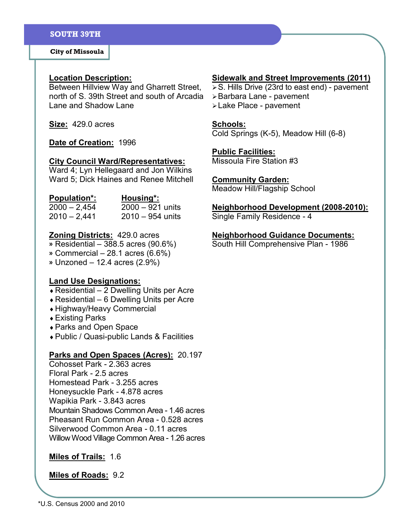City of Missoula

### Location Description:

Between Hillview Way and Gharrett Street, north of S. 39th Street and south of Arcadia Lane and Shadow Lane

Size: 429.0 acres

### Date of Creation: 1996

#### City Council Ward/Representatives:

Ward 4; Lyn Hellegaard and Jon Wilkins Ward 5; Dick Haines and Renee Mitchell

| <b>Population*:</b> | Housing*:          |
|---------------------|--------------------|
| $2000 - 2,454$      | $2000 - 921$ units |
| $2010 - 2,441$      | $2010 - 954$ units |

### **Zoning Districts: 429.0 acres**

- » Residential 388.5 acres (90.6%)
- » Commercial 28.1 acres (6.6%)
- » Unzoned 12.4 acres (2.9%)

#### Land Use Designations:

- $\triangle$  Residential 2 Dwelling Units per Acre
- $\triangle$  Residential 6 Dwelling Units per Acre
- ♦ Highway/Heavy Commercial
- ♦ Existing Parks
- ♦ Parks and Open Space
- ♦ Public / Quasi-public Lands & Facilities

## Parks and Open Spaces (Acres): 20.197

Cohosset Park - 2.363 acres Floral Park - 2.5 acres Homestead Park - 3.255 acres Honeysuckle Park - 4.878 acres Wapikia Park - 3.843 acres Mountain Shadows Common Area - 1.46 acres Pheasant Run Common Area - 0.528 acres Silverwood Common Area - 0.11 acres Willow Wood Village Common Area - 1.26 acres

# Miles of Trails: 1.6

#### Miles of Roads: 9.2

# Sidewalk and Street Improvements (2011)

- $\triangleright$  S. Hills Drive (23rd to east end) pavement
- Barbara Lane pavement
- Lake Place pavement

# Schools:

Cold Springs (K-5), Meadow Hill (6-8)

#### Public Facilities:

Missoula Fire Station #3

# Community Garden:

Meadow Hill/Flagship School

## Neighborhood Development (2008-2010):

Single Family Residence - 4

#### Neighborhood Guidance Documents:

South Hill Comprehensive Plan - 1986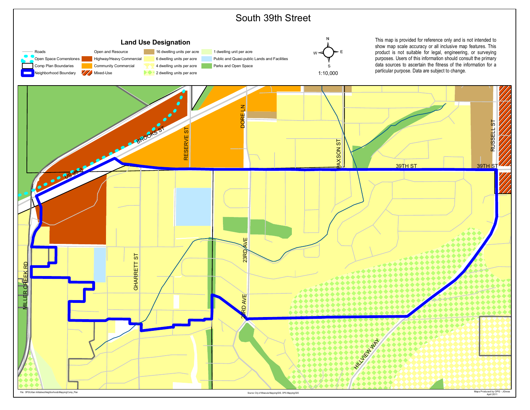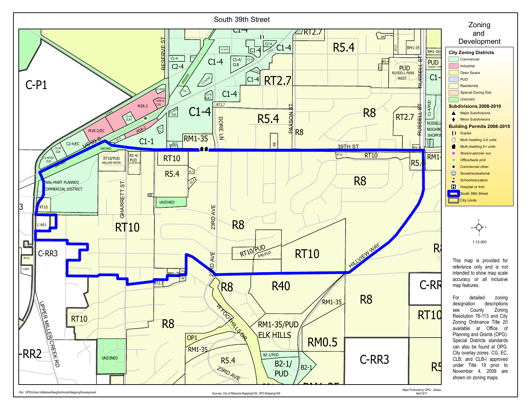

File: OPG\Urban Intitiatives\Neighborhoods\Mapping\Development Sources: City of Missoula Mapping\GIS, OPG Mapping\GIS, OPG Mapping\GIS, OPG Mapping\GIS, OPG Mapping\GIS, OPG Mapping\GIS, OPG Mapping\GIS, OPG Mapping\GIS, O

R8

RM1-35

RM1-35

PUD

April 2011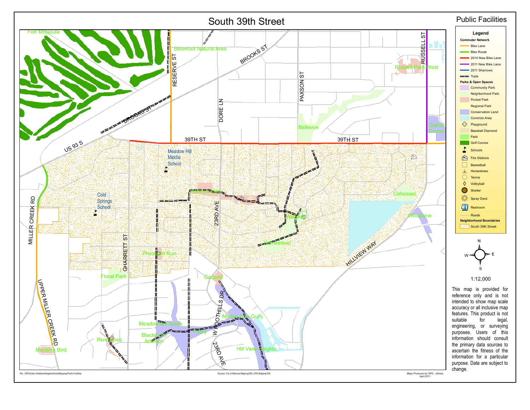